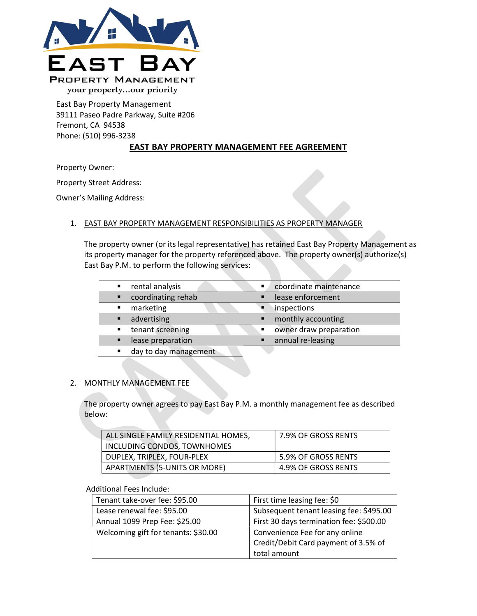

East Bay Property Management 39111 Paseo Padre Parkway, Suite #206 Fremont, CA 94538 Phone: (510) 996-3238

# EAST BAY PROPERTY MANAGEMENT FEE AGREEMENT

Property Owner:

Property Street Address:

Owner's Mailing Address:

# 1. EAST BAY PROPERTY MANAGEMENT RESPONSIBILITIES AS PROPERTY MANAGER

The property owner (or its legal representative) has retained East Bay Property Management as its property manager for the property referenced above. The property owner(s) authorize(s) East Bay P.M. to perform the following services:

| rental analysis       | coordinate maintenance<br>п |
|-----------------------|-----------------------------|
| coordinating rehab    | lease enforcement           |
| marketing             | inspections                 |
| advertising           | monthly accounting          |
| tenant screening      | owner draw preparation<br>Е |
| lease preparation     | annual re-leasing           |
| day to day management |                             |
|                       |                             |

# 2. MONTHLY MANAGEMENT FEE

The property owner agrees to pay East Bay P.M. a monthly management fee as described below:

| ALL SINGLE FAMILY RESIDENTIAL HOMES, | 7.9% OF GROSS RENTS |
|--------------------------------------|---------------------|
| INCLUDING CONDOS, TOWNHOMES          |                     |
| DUPLEX, TRIPLEX, FOUR-PLEX           | 5.9% OF GROSS RENTS |
| APARTMENTS (5-UNITS OR MORE)         | 4.9% OF GROSS RENTS |

### Additional Fees Include:

| Tenant take-over fee: \$95.00       | First time leasing fee: \$0                       |  |
|-------------------------------------|---------------------------------------------------|--|
| Lease renewal fee: \$95.00          | Subsequent tenant leasing fee: \$495.00           |  |
| Annual 1099 Prep Fee: \$25.00       | First 30 days termination fee: \$500.00           |  |
| Welcoming gift for tenants: \$30.00 | Convenience Fee for any online                    |  |
|                                     | <sup>1</sup> Credit/Debit Card payment of 3.5% of |  |
|                                     | total amount                                      |  |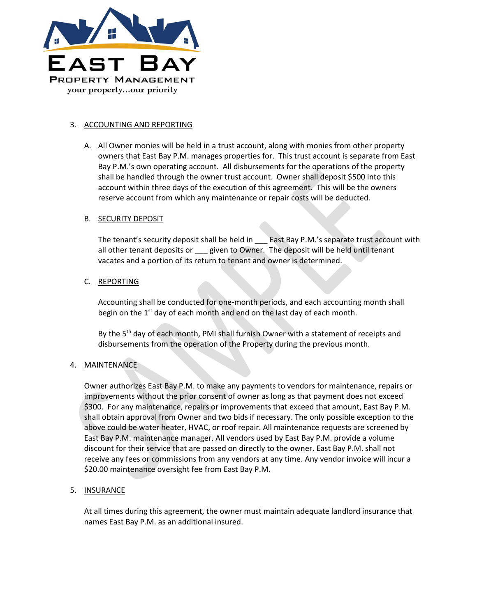

### 3. ACCOUNTING AND REPORTING

A. All Owner monies will be held in a trust account, along with monies from other property owners that East Bay P.M. manages properties for. This trust account is separate from East Bay P.M.'s own operating account. All disbursements for the operations of the property shall be handled through the owner trust account. Owner shall deposit \$500 into this account within three days of the execution of this agreement. This will be the owners reserve account from which any maintenance or repair costs will be deducted.

### B. SECURITY DEPOSIT

The tenant's security deposit shall be held in \_\_\_\_ East Bay P.M.'s separate trust account with all other tenant deposits or \_\_\_ given to Owner. The deposit will be held until tenant vacates and a portion of its return to tenant and owner is determined.

# C. REPORTING

Accounting shall be conducted for one-month periods, and each accounting month shall begin on the  $1<sup>st</sup>$  day of each month and end on the last day of each month.

By the 5<sup>th</sup> day of each month, PMI shall furnish Owner with a statement of receipts and disbursements from the operation of the Property during the previous month.

# 4. MAINTENANCE

Owner authorizes East Bay P.M. to make any payments to vendors for maintenance, repairs or improvements without the prior consent of owner as long as that payment does not exceed \$300. For any maintenance, repairs or improvements that exceed that amount, East Bay P.M. shall obtain approval from Owner and two bids if necessary. The only possible exception to the above could be water heater, HVAC, or roof repair. All maintenance requests are screened by East Bay P.M. maintenance manager. All vendors used by East Bay P.M. provide a volume discount for their service that are passed on directly to the owner. East Bay P.M. shall not receive any fees or commissions from any vendors at any time. Any vendor invoice will incur a \$20.00 maintenance oversight fee from East Bay P.M.

# 5. INSURANCE

At all times during this agreement, the owner must maintain adequate landlord insurance that names East Bay P.M. as an additional insured.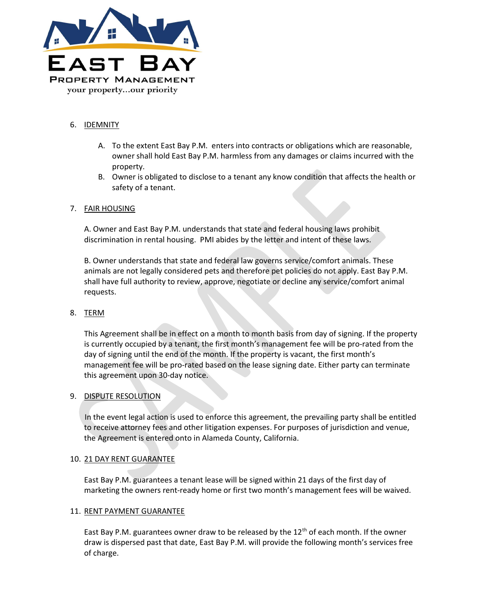

# 6. IDEMNITY

- A. To the extent East Bay P.M. enters into contracts or obligations which are reasonable, owner shall hold East Bay P.M. harmless from any damages or claims incurred with the property.
- B. Owner is obligated to disclose to a tenant any know condition that affects the health or safety of a tenant.

### 7. FAIR HOUSING

A. Owner and East Bay P.M. understands that state and federal housing laws prohibit discrimination in rental housing. PMI abides by the letter and intent of these laws.

B. Owner understands that state and federal law governs service/comfort animals. These animals are not legally considered pets and therefore pet policies do not apply. East Bay P.M. shall have full authority to review, approve, negotiate or decline any service/comfort animal requests.

### 8. TERM

This Agreement shall be in effect on a month to month basis from day of signing. If the property is currently occupied by a tenant, the first month's management fee will be pro-rated from the day of signing until the end of the month. If the property is vacant, the first month's management fee will be pro-rated based on the lease signing date. Either party can terminate this agreement upon 30-day notice.

### 9. DISPUTE RESOLUTION

In the event legal action is used to enforce this agreement, the prevailing party shall be entitled to receive attorney fees and other litigation expenses. For purposes of jurisdiction and venue, the Agreement is entered onto in Alameda County, California.

### 10. 21 DAY RENT GUARANTEE

East Bay P.M. guarantees a tenant lease will be signed within 21 days of the first day of marketing the owners rent-ready home or first two month's management fees will be waived.

### 11. RENT PAYMENT GUARANTEE

East Bay P.M. guarantees owner draw to be released by the  $12<sup>th</sup>$  of each month. If the owner draw is dispersed past that date, East Bay P.M. will provide the following month's services free of charge.